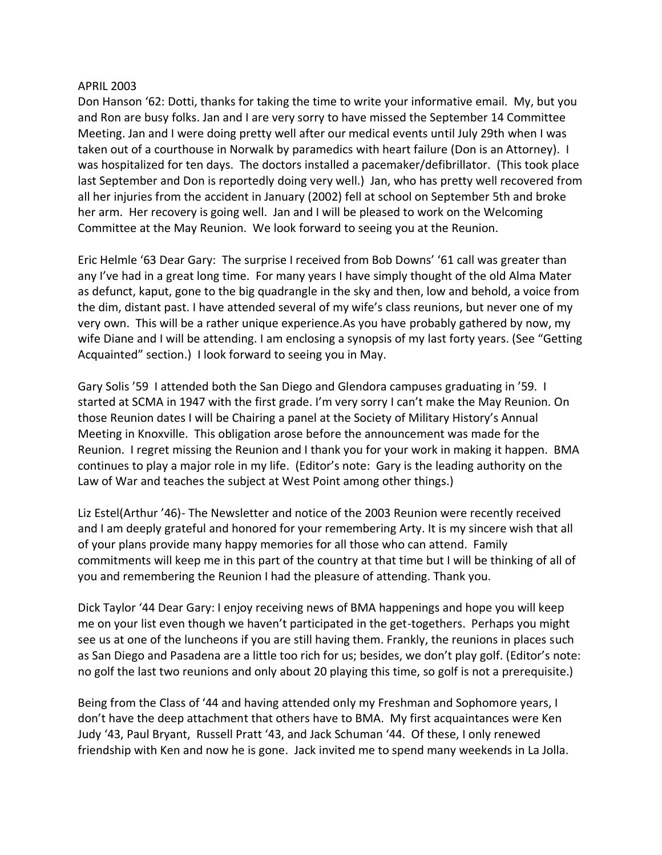## APRIL 2003

Don Hanson '62: Dotti, thanks for taking the time to write your informative email. My, but you and Ron are busy folks. Jan and I are very sorry to have missed the September 14 Committee Meeting. Jan and I were doing pretty well after our medical events until July 29th when I was taken out of a courthouse in Norwalk by paramedics with heart failure (Don is an Attorney). I was hospitalized for ten days. The doctors installed a pacemaker/defibrillator. (This took place last September and Don is reportedly doing very well.) Jan, who has pretty well recovered from all her injuries from the accident in January (2002) fell at school on September 5th and broke her arm. Her recovery is going well. Jan and I will be pleased to work on the Welcoming Committee at the May Reunion. We look forward to seeing you at the Reunion.

Eric Helmle '63 Dear Gary: The surprise I received from Bob Downs' '61 call was greater than any I've had in a great long time. For many years I have simply thought of the old Alma Mater as defunct, kaput, gone to the big quadrangle in the sky and then, low and behold, a voice from the dim, distant past. I have attended several of my wife's class reunions, but never one of my very own. This will be a rather unique experience.As you have probably gathered by now, my wife Diane and I will be attending. I am enclosing a synopsis of my last forty years. (See "Getting Acquainted" section.) I look forward to seeing you in May.

Gary Solis '59 I attended both the San Diego and Glendora campuses graduating in '59. I started at SCMA in 1947 with the first grade. I'm very sorry I can't make the May Reunion. On those Reunion dates I will be Chairing a panel at the Society of Military History's Annual Meeting in Knoxville. This obligation arose before the announcement was made for the Reunion. I regret missing the Reunion and I thank you for your work in making it happen. BMA continues to play a major role in my life. (Editor's note: Gary is the leading authority on the Law of War and teaches the subject at West Point among other things.)

Liz Estel(Arthur '46)- The Newsletter and notice of the 2003 Reunion were recently received and I am deeply grateful and honored for your remembering Arty. It is my sincere wish that all of your plans provide many happy memories for all those who can attend. Family commitments will keep me in this part of the country at that time but I will be thinking of all of you and remembering the Reunion I had the pleasure of attending. Thank you.

Dick Taylor '44 Dear Gary: I enjoy receiving news of BMA happenings and hope you will keep me on your list even though we haven't participated in the get-togethers. Perhaps you might see us at one of the luncheons if you are still having them. Frankly, the reunions in places such as San Diego and Pasadena are a little too rich for us; besides, we don't play golf. (Editor's note: no golf the last two reunions and only about 20 playing this time, so golf is not a prerequisite.)

Being from the Class of '44 and having attended only my Freshman and Sophomore years, I don't have the deep attachment that others have to BMA. My first acquaintances were Ken Judy '43, Paul Bryant, Russell Pratt '43, and Jack Schuman '44. Of these, I only renewed friendship with Ken and now he is gone. Jack invited me to spend many weekends in La Jolla.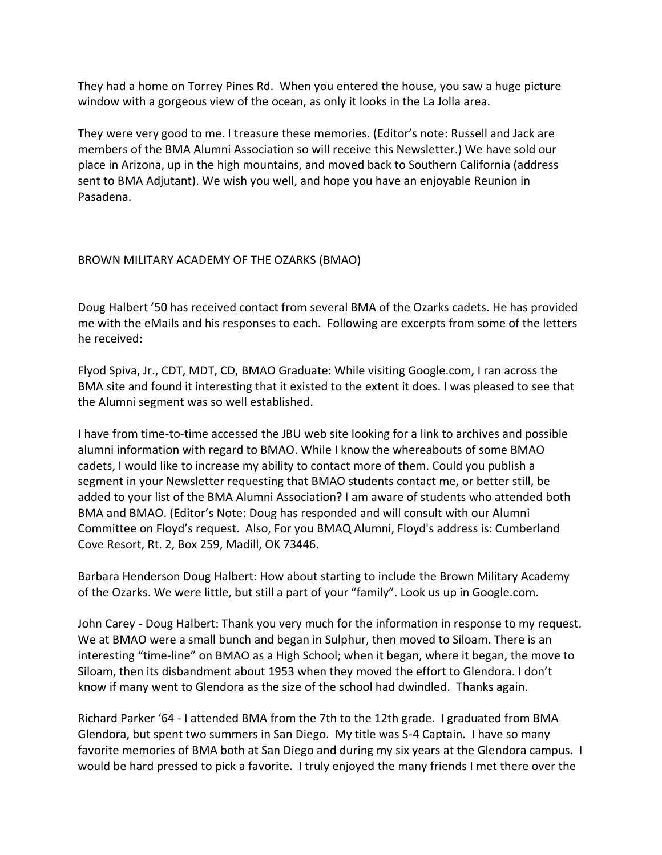They had a home on Torrey Pines Rd. When you entered the house, you saw a huge picture window with a gorgeous view of the ocean, as only it looks in the La Jolla area.

They were very good to me. I treasure these memories. (Editor's note: Russell and Jack are members of the BMA Alumni Association so will receive this Newsletter.) We have sold our place in Arizona, up in the high mountains, and moved back to Southern California (address sent to BMA Adjutant). We wish you well, and hope you have an enjoyable Reunion in Pasadena.

## BROWN MILITARY ACADEMY OF THE OZARKS (BMAO)

Doug Halbert '50 has received contact from several BMA of the Ozarks cadets. He has provided me with the eMails and his responses to each. Following are excerpts from some of the letters he received:

Flyod Spiva, Jr., CDT, MDT, CD, BMAO Graduate: While visiting Google.com, I ran across the BMA site and found it interesting that it existed to the extent it does. I was pleased to see that the Alumni segment was so well established.

I have from time-to-time accessed the JBU web site looking for a link to archives and possible alumni information with regard to BMAO. While I know the whereabouts of some BMAO cadets, I would like to increase my ability to contact more of them. Could you publish a segment in your Newsletter requesting that BMAO students contact me, or better still, be added to your list of the BMA Alumni Association? I am aware of students who attended both BMA and BMAO. (Editor's Note: Doug has responded and will consult with our Alumni Committee on Floyd's request. Also, For you BMAQ Alumni, Floyd's address is: Cumberland Cove Resort, Rt. 2, Box 259, Madill, OK 73446.

Barbara Henderson Doug Halbert: How about starting to include the Brown Military Academy of the Ozarks. We were little, but still a part of your "family". Look us up in Google.com.

John Carey - Doug Halbert: Thank you very much for the information in response to my request. We at BMAO were a small bunch and began in Sulphur, then moved to Siloam. There is an interesting "time-line" on BMAO as a High School; when it began, where it began, the move to Siloam, then its disbandment about 1953 when they moved the effort to Glendora. I don't know if many went to Glendora as the size of the school had dwindled. Thanks again.

Richard Parker '64 - I attended BMA from the 7th to the 12th grade. I graduated from BMA Glendora, but spent two summers in San Diego. My title was S-4 Captain. I have so many favorite memories of BMA both at San Diego and during my six years at the Glendora campus. I would be hard pressed to pick a favorite. I truly enjoyed the many friends I met there over the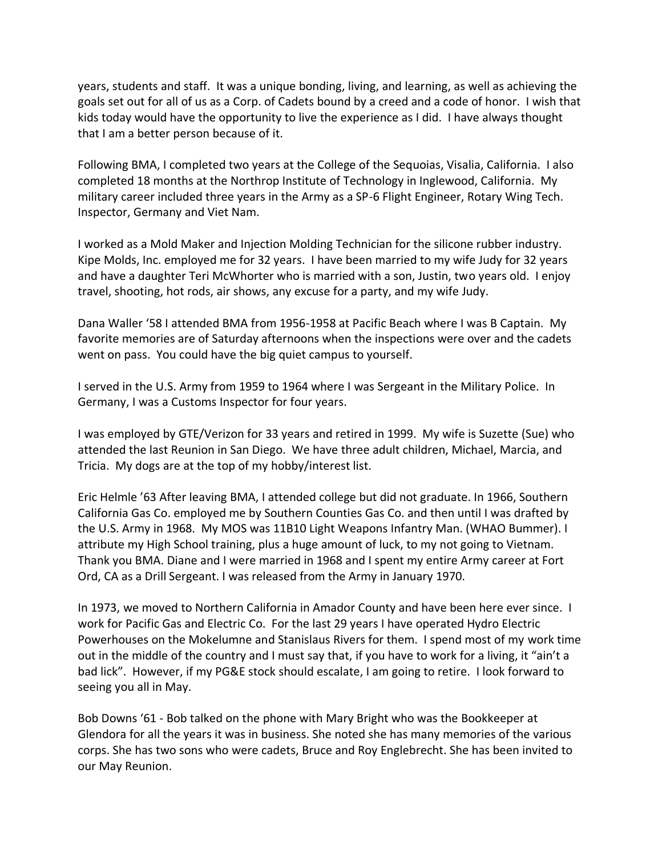years, students and staff. It was a unique bonding, living, and learning, as well as achieving the goals set out for all of us as a Corp. of Cadets bound by a creed and a code of honor. I wish that kids today would have the opportunity to live the experience as I did. I have always thought that I am a better person because of it.

Following BMA, I completed two years at the College of the Sequoias, Visalia, California. I also completed 18 months at the Northrop Institute of Technology in Inglewood, California. My military career included three years in the Army as a SP-6 Flight Engineer, Rotary Wing Tech. Inspector, Germany and Viet Nam.

I worked as a Mold Maker and Injection Molding Technician for the silicone rubber industry. Kipe Molds, Inc. employed me for 32 years. I have been married to my wife Judy for 32 years and have a daughter Teri McWhorter who is married with a son, Justin, two years old. I enjoy travel, shooting, hot rods, air shows, any excuse for a party, and my wife Judy.

Dana Waller '58 I attended BMA from 1956-1958 at Pacific Beach where I was B Captain. My favorite memories are of Saturday afternoons when the inspections were over and the cadets went on pass. You could have the big quiet campus to yourself.

I served in the U.S. Army from 1959 to 1964 where I was Sergeant in the Military Police. In Germany, I was a Customs Inspector for four years.

I was employed by GTE/Verizon for 33 years and retired in 1999. My wife is Suzette (Sue) who attended the last Reunion in San Diego. We have three adult children, Michael, Marcia, and Tricia. My dogs are at the top of my hobby/interest list.

Eric Helmle '63 After leaving BMA, I attended college but did not graduate. In 1966, Southern California Gas Co. employed me by Southern Counties Gas Co. and then until I was drafted by the U.S. Army in 1968. My MOS was 11B10 Light Weapons Infantry Man. (WHAO Bummer). I attribute my High School training, plus a huge amount of luck, to my not going to Vietnam. Thank you BMA. Diane and I were married in 1968 and I spent my entire Army career at Fort Ord, CA as a Drill Sergeant. I was released from the Army in January 1970.

In 1973, we moved to Northern California in Amador County and have been here ever since. I work for Pacific Gas and Electric Co. For the last 29 years I have operated Hydro Electric Powerhouses on the Mokelumne and Stanislaus Rivers for them. I spend most of my work time out in the middle of the country and I must say that, if you have to work for a living, it "ain't a bad lick". However, if my PG&E stock should escalate, I am going to retire. I look forward to seeing you all in May.

Bob Downs '61 - Bob talked on the phone with Mary Bright who was the Bookkeeper at Glendora for all the years it was in business. She noted she has many memories of the various corps. She has two sons who were cadets, Bruce and Roy Englebrecht. She has been invited to our May Reunion.